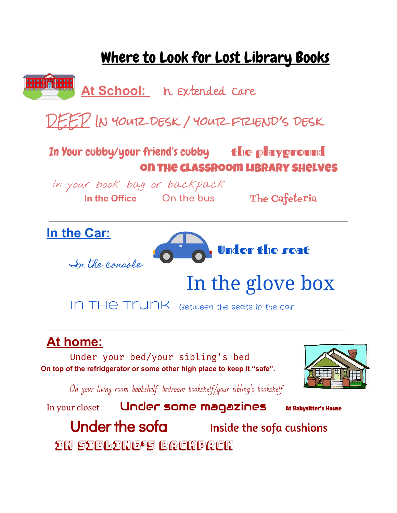## Where to Look for Lost Library Books **HILL THEIR At School:** In Extended Care  $E^2$  IN YOUTZ DESK / YOUTZ FTZIEND'S DESK In Your cubby/your friend's cubby the playground on the classroom library shelves In your book bag or backpack **In the Office On the bus** The Cafeteria **In the Car:** Under the seat In the console In the glove box IN THE TIUNK Between the seats in the car. **At home:**

Under your bed/your sibling's bed **On top of the refridgerator or some other high place to keep it "safe".**



On your living room bookshelf, bedroom bookshelf/your sibling's bookshelf

In your closet Under some magazines At Babysitter's House Under the sofa **Inside the sofa cushions** In sibling's backpack